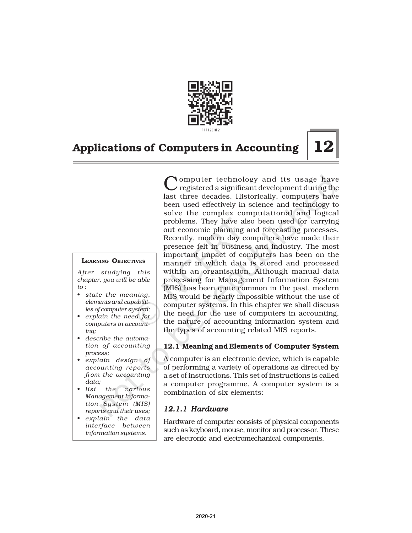

#### LEARNING OBJECTIVES

*After studying this chapter, you will be able to :*

- *state the meaning, elementsand capabilities of computer sustem:*
- *explain the need for computers in accounting;*
- *describe the automation of accounting process;*
- *explain design of accounting reports from the accounting data;*
- *list the various Management Information System (MIS) reports and their uses;*
- *explain the data interface between information systems.*

Computer technology and its usage have<br>Less registered a significant development during the<br>last three decades. Historically, computers have omputer technology and its usage have registered a significant development during the been used effectively in science and technology to solve the complex computational and logical problems. They have also been used for carrying out economic planning and forecasting processes. Recently, modern day computers have made their presence felt in business and industry. The most important impact of computers has been on the manner in which data is stored and processed within an organisation. Although manual data processing for Management Information System (MIS) has been quite common in the past, modern MIS would be nearly impossible without the use of computer systems. In this chapter we shall discuss the need for the use of computers in accounting, the nature of accounting information system and the types of accounting related MIS reports.

# 12.1 Meaning and Elements of Computer System

A computer is an electronic device, which is capable of performing a variety of operations as directed by a set of instructions. This set of instructions is called a computer programme. A computer system is a combination of six elements:

# *12.1.1 Hardware*

Hardware of computer consists of physical components such as keyboard, mouse, monitor and processor. These are electronic and electromechanical components.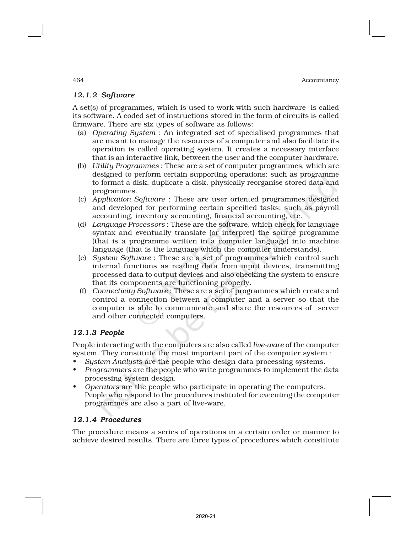# *12.1.2 Software*

A set(s) of programmes, which is used to work with such hardware is called its software. A coded set of instructions stored in the form of circuits is called firmware. There are six types of software as follows:

- (a) *Operating System* : An integrated set of specialised programmes that are meant to manage the resources of a computer and also facilitate its operation is called operating system. It creates a necessary interface that is an interactive link, between the user and the computer hardware.
- (b) *Utility Programmes* : These are a set of computer programmes, which are designed to perform certain supporting operations: such as programme to format a disk, duplicate a disk, physically reorganise stored data and programmes.
- (c) *Application Software* : These are user oriented programmes designed and developed for performing certain specified tasks: such as payroll accounting, inventory accounting, financial accounting, etc.
- (d*) Language Processors* : These are the software, which check for language syntax and eventually translate (or interpret) the source programme (that is a programme written in a computer language) into machine language (that is the language which the computer understands).
- (e) *System Software* : These are a set of programmes which control such internal functions as reading data from input devices, transmitting processed data to output devices and also checking the system to ensure that its components are functioning properly.
- (f) *Connectivity Software* : These are a set of programmes which create and control a connection between a computer and a server so that the computer is able to communicate and share the resources of server and other connected computers.

# *12.1.3 People*

People interacting with the computers are also called *live-ware* of the computer system. They constitute the most important part of the computer system :

- *• System Analysts* are the people who design data processing systems.
- *• Programmers* are the people who write programmes to implement the data processing system design.
- *• Operators* are the people who participate in operating the computers. People who respond to the procedures instituted for executing the computer programmes are also a part of live-ware.

# *12.1.4 Procedures*

The procedure means a series of operations in a certain order or manner to achieve desired results. There are three types of procedures which constitute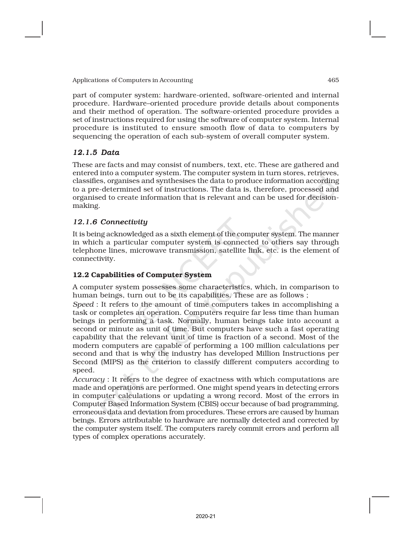part of computer system: hardware-oriented, software-oriented and internal procedure. Hardware–oriented procedure provide details about components and their method of operation. The software-oriented procedure provides a set of instructions required for using the software of computer system. Internal procedure is instituted to ensure smooth flow of data to computers by sequencing the operation of each sub-system of overall computer system.

## *12.1.5 Data*

These are facts and may consist of numbers, text, etc. These are gathered and entered into a computer system. The computer system in turn stores, retrieves, classifies, organises and synthesises the data to produce information according to a pre-determined set of instructions. The data is, therefore, processed and organised to create information that is relevant and can be used for decisionmaking.

# *12.1.6 Connectivity*

It is being acknowledged as a sixth element of the computer system. The manner in which a particular computer system is connected to others say through telephone lines, microwave transmission, satellite link, etc. is the element of connectivity.

# 12.2 Capabilities of Computer System

A computer system possesses some characteristics, which, in comparison to human beings, turn out to be its capabilities. These are as follows ;

*Speed* : It refers to the amount of time computers takes in accomplishing a task or completes an operation. Computers require far less time than human beings in performing a task. Normally, human beings take into account a second or minute as unit of time. But computers have such a fast operating capability that the relevant unit of time is fraction of a second. Most of the modern computers are capable of performing a 100 million calculations per second and that is why the industry has developed Million Instructions per Second (MIPS) as the criterion to classify different computers according to speed.

*Accuracy* : It refers to the degree of exactness with which computations are made and operations are performed. One might spend years in detecting errors in computer calculations or updating a wrong record. Most of the errors in Computer Based Information System (CBIS) occur because of bad programming, erroneous data and deviation from procedures. These errors are caused by human beings. Errors attributable to hardware are normally detected and corrected by the computer system itself. The computers rarely commit errors and perform all types of complex operations accurately.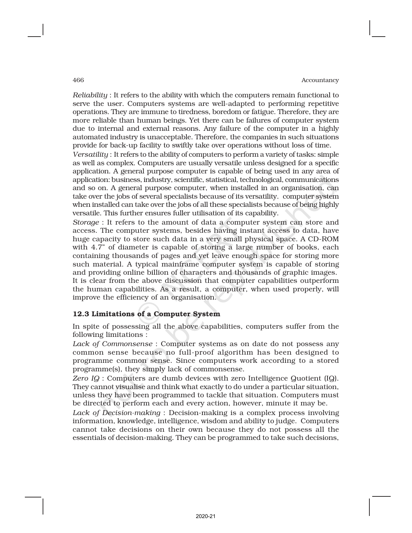#### 466 Accountancy

*Reliability* : It refers to the ability with which the computers remain functional to serve the user. Computers systems are well-adapted to performing repetitive operations. They are immune to tiredness, boredom or fatigue. Therefore, they are more reliable than human beings. Yet there can be failures of computer system due to internal and external reasons. Any failure of the computer in a highly automated industry is unacceptable. Therefore, the companies in such situations provide for back-up facility to swiftly take over operations without loss of time.

*Versatility* : It refers to the ability of computers to perform a variety of tasks: simple as well as complex. Computers are usually versatile unless designed for a specific application. A general purpose computer is capable of being used in any area of application: business, industry, scientific, statistical, technological, communications and so on. A general purpose computer, when installed in an organisation, can take over the jobs of several specialists because of its versatility. computer system when installed can take over the jobs of all these specialists because of being highly versatile. This further ensures fuller utilisation of its capability.

*Storage* : It refers to the amount of data a computer system can store and access. The computer systems, besides having instant access to data, have huge capacity to store such data in a very small physical space. A CD-ROM with 4.7" of diameter is capable of storing a large number of books, each containing thousands of pages and yet leave enough space for storing more such material. A typical mainframe computer system is capable of storing and providing online billion of characters and thousands of graphic images. It is clear from the above discussion that computer capabilities outperform the human capabilities. As a result, a computer, when used properly, will improve the efficiency of an organisation.

#### 12.3 Limitations of a Computer System

In spite of possessing all the above capabilities, computers suffer from the following limitations :

*Lack of Commonsense* : Computer systems as on date do not possess any common sense because no full-proof algorithm has been designed to programme common sense. Since computers work according to a stored programme(s), they simply lack of commonsense.

*Zero IQ* : Computers are dumb devices with zero Intelligence Quotient (IQ). They cannot visualise and think what exactly to do under a particular situation, unless they have been programmed to tackle that situation. Computers must be directed to perform each and every action, however, minute it may be.

*Lack of Decision-making* : Decision-making is a complex process involving information, knowledge, intelligence, wisdom and ability to judge. Computers cannot take decisions on their own because they do not possess all the essentials of decision-making. They can be programmed to take such decisions,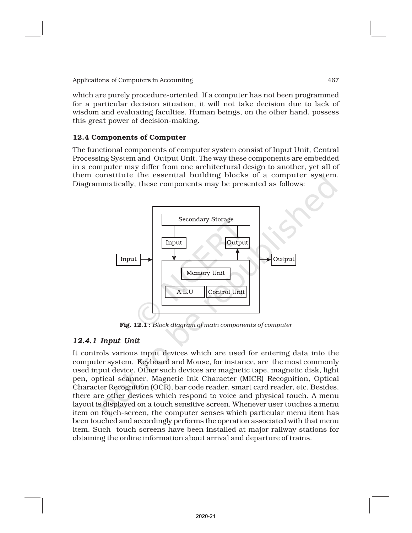which are purely procedure-oriented. If a computer has not been programmed for a particular decision situation, it will not take decision due to lack of wisdom and evaluating faculties. Human beings, on the other hand, possess this great power of decision-making.

## 12.4 Components of Computer

The functional components of computer system consist of Input Unit, Central Processing System and Output Unit. The way these components are embedded in a computer may differ from one architectural design to another, yet all of them constitute the essential building blocks of a computer system. Diagrammatically, these components may be presented as follows:



Fig. 12.1 : *Block diagram of main components of computer*

# *12.4.1 Input Unit*

It controls various input devices which are used for entering data into the computer system. Keyboard and Mouse, for instance, are the most commonly used input device. Other such devices are magnetic tape, magnetic disk, light pen, optical scanner, Magnetic Ink Character (MICR) Recognition, Optical Character Recognition (OCR), bar code reader, smart card reader, etc. Besides, there are other devices which respond to voice and physical touch. A menu layout is displayed on a touch sensitive screen. Whenever user touches a menu item on touch-screen, the computer senses which particular menu item has been touched and accordingly performs the operation associated with that menu item. Such touch screens have been installed at major railway stations for obtaining the online information about arrival and departure of trains.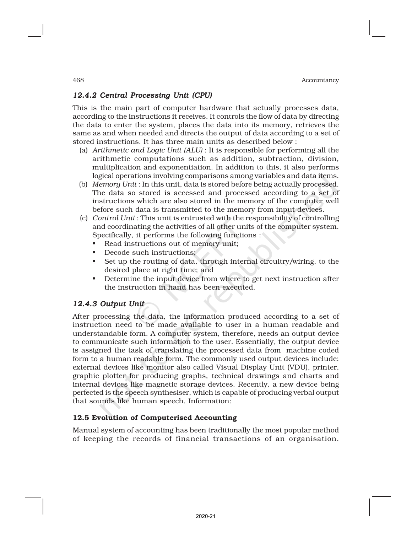# *12.4.2 Central Processing Unit (CPU)*

This is the main part of computer hardware that actually processes data, according to the instructions it receives. It controls the flow of data by directing the data to enter the system, places the data into its memory, retrieves the same as and when needed and directs the output of data according to a set of stored instructions. It has three main units as described below :

- (a) *Arithmetic and Logic Unit (ALU)* : It is responsible for performing all the arithmetic computations such as addition, subtraction, division, multiplication and exponentiation. In addition to this, it also performs logical operations involving comparisons among variables and data items.
- (b) *Memory Unit* : In this unit, data is stored before being actually processed. The data so stored is accessed and processed according to a set of instructions which are also stored in the memory of the computer well before such data is transmitted to the memory from input devices.
- (c) *Control Unit* : This unit is entrusted with the responsibility of controlling and coordinating the activities of all other units of the computer system. Specifically, it performs the following functions :
	- Read instructions out of memory unit;
	- Decode such instructions;
	- Set up the routing of data, through internal circuitry/wiring, to the desired place at right time; and
	- Determine the input device from where to get next instruction after the instruction in hand has been executed.

# *12.4.3 Output Unit*

After processing the data, the information produced according to a set of instruction need to be made available to user in a human readable and understandable form. A computer system, therefore, needs an output device to communicate such information to the user. Essentially, the output device is assigned the task of translating the processed data from machine coded form to a human readable form. The commonly used output devices include: external devices like monitor also called Visual Display Unit (VDU), printer, graphic plotter for producing graphs, technical drawings and charts and internal devices like magnetic storage devices. Recently, a new device being perfected is the speech synthesiser, which is capable of producing verbal output that sounds like human speech. Information:

#### 12.5 Evolution of Computerised Accounting

Manual system of accounting has been traditionally the most popular method of keeping the records of financial transactions of an organisation.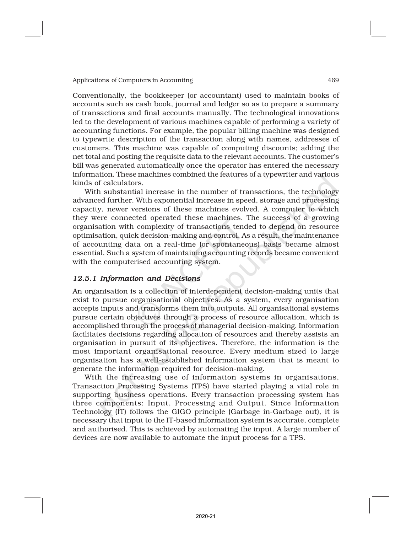Conventionally, the bookkeeper (or accountant) used to maintain books of accounts such as cash book, journal and ledger so as to prepare a summary of transactions and final accounts manually. The technological innovations led to the development of various machines capable of performing a variety of accounting functions. For example, the popular billing machine was designed to typewrite description of the transaction along with names, addresses of customers. This machine was capable of computing discounts; adding the net total and posting the requisite data to the relevant accounts. The customer's bill was generated automatically once the operator has entered the necessary information. These machines combined the features of a typewriter and various kinds of calculators.

With substantial increase in the number of transactions, the technology advanced further. With exponential increase in speed, storage and processing capacity, newer versions of these machines evolved. A computer to which they were connected operated these machines. The success of a growing organisation with complexity of transactions tended to depend on resource optimisation, quick decision-making and control. As a result, the maintenance of accounting data on a real-time (or spontaneous) basis became almost essential. Such a system of maintaining accounting records became convenient with the computerised accounting system.

#### *12.5.1 Information and Decisions*

An organisation is a collection of interdependent decision-making units that exist to pursue organisational objectives. As a system, every organisation accepts inputs and transforms them into outputs. All organisational systems pursue certain objectives through a process of resource allocation, which is accomplished through the process of managerial decision-making. Information facilitates decisions regarding allocation of resources and thereby assists an organisation in pursuit of its objectives. Therefore, the information is the most important organisational resource. Every medium sized to large organisation has a well-established information system that is meant to generate the information required for decision-making.

With the increasing use of information systems in organisations, Transaction Processing Systems (TPS) have started playing a vital role in supporting business operations. Every transaction processing system has three components: Input, Processing and Output. Since Information Technology (IT) follows the GIGO principle (Garbage in-Garbage out), it is necessary that input to the IT-based information system is accurate, complete and authorised. This is achieved by automating the input. A large number of devices are now available to automate the input process for a TPS.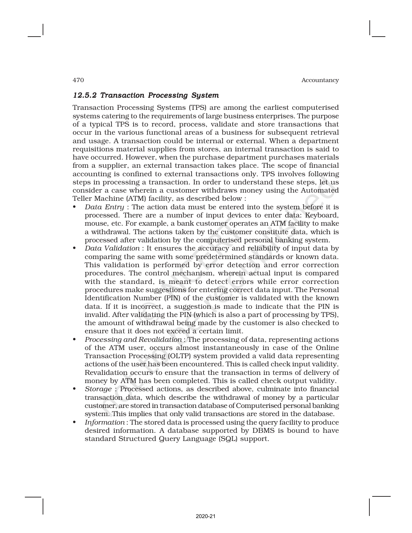# *12.5.2 Transaction Processing System*

Transaction Processing Systems (TPS) are among the earliest computerised systems catering to the requirements of large business enterprises. The purpose of a typical TPS is to record, process, validate and store transactions that occur in the various functional areas of a business for subsequent retrieval and usage. A transaction could be internal or external. When a department requisitions material supplies from stores, an internal transaction is said to have occurred. However, when the purchase department purchases materials from a supplier, an external transaction takes place. The scope of financial accounting is confined to external transactions only. TPS involves following steps in processing a transaction. In order to understand these steps, let us consider a case wherein a customer withdraws money using the Automated Teller Machine (ATM) facility, as described below :

- *Data Entry* : The action data must be entered into the system before it is processed. There are a number of input devices to enter data: Keyboard, mouse, etc. For example, a bank customer operates an ATM facility to make a withdrawal. The actions taken by the customer constitute data, which is processed after validation by the computerised personal banking system.
- *Data Validation* : It ensures the accuracy and reliability of input data by comparing the same with some predetermined standards or known data. This validation is performed by error detection and error correction procedures. The control mechanism, wherein actual input is compared with the standard, is meant to detect errors while error correction procedures make suggestions for entering correct data input. The Personal Identification Number (PIN) of the customer is validated with the known data. If it is incorrect, a suggestion is made to indicate that the PIN is invalid. After validating the PIN (which is also a part of processing by TPS), the amount of withdrawal being made by the customer is also checked to ensure that it does not exceed a certain limit.
- *Processing and Revalidation* : The processing of data, representing actions of the ATM user, occurs almost instantaneously in case of the Online Transaction Processing (OLTP) system provided a valid data representing actions of the user has been encountered. This is called check input validity. Revalidation occurs to ensure that the transaction in terms of delivery of money by ATM has been completed. This is called check output validity.
- *Storage* : Processed actions, as described above, culminate into financial transaction data, which describe the withdrawal of money by a particular customer, are stored in transaction database of Computerised personal banking system. This implies that only valid transactions are stored in the database.
- *Information* : The stored data is processed using the query facility to produce desired information. A database supported by DBMS is bound to have standard Structured Query Language (SQL) support.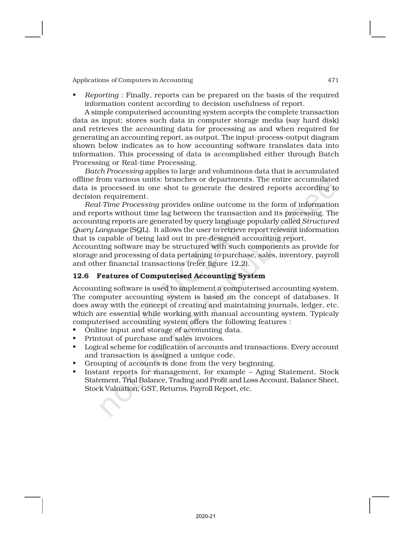• *Reporting* : Finally, reports can be prepared on the basis of the required information content according to decision usefulness of report.

A simple computerised accounting system accepts the complete transaction data as input; stores such data in computer storage media (say hard disk) and retrieves the accounting data for processing as and when required for generating an accounting report, as output. The input-process-output diagram shown below indicates as to how accounting software translates data into information. This processing of data is accomplished either through Batch Processing or Real-time Processing.

*Batch Processing* applies to large and voluminous data that is accumulated offline from various units: branches or departments. The entire accumulated data is processed in one shot to generate the desired reports according to decision requirement.

*Real-Time Processing* provides online outcome in the form of information and reports without time lag between the transaction and its processing. The accounting reports are generated by query language popularly called *Structured Query Language* (SQL). It allows the user to retrieve report relevant information that is capable of being laid out in pre-designed accounting report.

Accounting software may be structured with such components as provide for storage and processing of data pertaining to purchase, sales, inventory, payroll and other financial transactions (refer figure 12.2).

#### 12.6 Features of Computerised Accounting System

Accounting software is used to implement a computerised accounting system. The computer accounting system is based on the concept of databases. It does away with the concept of creating and maintaining journals, ledger, etc. which are essential while working with manual accounting system. Typicaly computerised accounting system offers the following features :

- Online input and storage of accounting data.
- Printout of purchase and sales invoices.
- Logical scheme for codification of accounts and transactions. Every account and transaction is assigned a unique code.
- Grouping of accounts is done from the very beginning.
- Instant reports for management, for example Aging Statement, Stock Statement, Trial Balance, Trading and Profit and Loss Account, Balance Sheet, Stock Valuation, GST, Returns, Payroll Report, etc.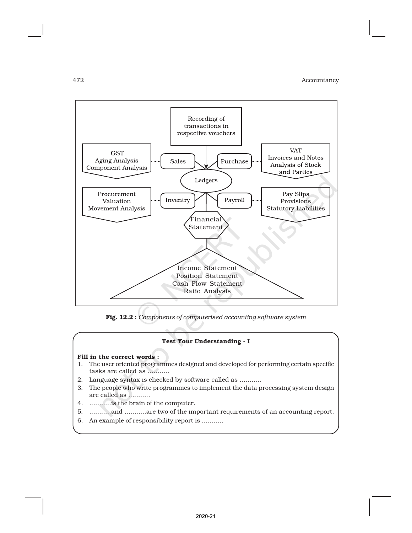

Fig. 12.2 : *Components of computerised accounting software system*

#### Test Your Understanding - I

#### Fill in the correct words :

- 1. The user oriented programmes designed and developed for performing certain specific tasks are called as ...........
- 2. Language syntax is checked by software called as ...........
- 3. The people who write programmes to implement the data processing system design are called as ...........
- 4. ...........is the brain of the computer.
- 5. ...........and ...........are two of the important requirements of an accounting report.
- 6. An example of responsibility report is ...........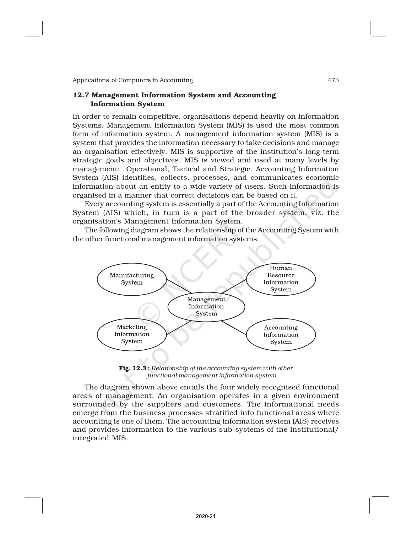#### 12.7 Management Information System and Accounting Information System

In order to remain competitive, organisations depend heavily on Information Systems. Management Information System (MIS) is used the most common form of information system. A management information system (MIS) is a system that provides the information necessary to take decisions and manage an organisation effectively. MIS is supportive of the institution's long-term strategic goals and objectives. MIS is viewed and used at many levels by management: Operational, Tactical and Strategic. Accounting Information System (AIS) identifies, collects, processes, and communicates economic information about an entity to a wide variety of users. Such information is organised in a manner that correct decisions can be based on it.

Every accounting system is essentially a part of the Accounting Information System (AIS) which, in turn is a part of the broader system, viz. the organisation's Management Information System.

The following diagram shows the relationship of the Accounting System with the other functional management information systems.



Fig. 12.3 : *Relationship of the accounting system with other functional management information system*

The diagram shown above entails the four widely recognised functional areas of management. An organisation operates in a given environment surrounded by the suppliers and customers. The informational needs emerge from the business processes stratified into functional areas where accounting is one of them. The accounting information system (AIS) receives and provides information to the various sub-systems of the institutional/ integrated MIS.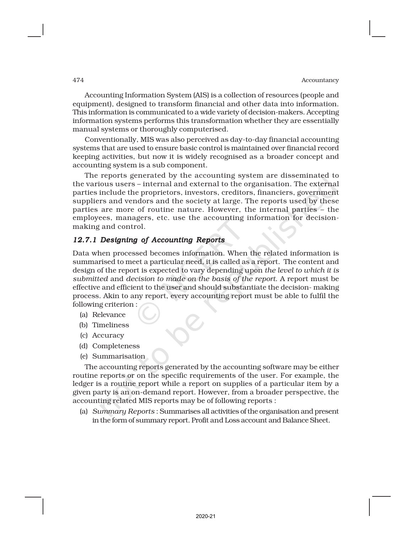Accounting Information System (AIS) is a collection of resources (people and equipment), designed to transform financial and other data into information. This information is communicated to a wide variety of decision-makers. Accepting information systems performs this transformation whether they are essentially manual systems or thoroughly computerised.

Conventionally, MIS was also perceived as day-to-day financial accounting systems that are used to ensure basic control is maintained over financial record keeping activities, but now it is widely recognised as a broader concept and accounting system is a sub component.

The reports generated by the accounting system are disseminated to the various users – internal and external to the organisation. The external parties include the proprietors, investors, creditors, financiers, government suppliers and vendors and the society at large. The reports used by these parties are more of routine nature. However, the internal parties – the employees, managers, etc. use the accounting information for decisionmaking and control.

### *12.7.1 Designing of Accounting Reports*

Data when processed becomes information. When the related information is summarised to meet a particular need, it is called as a report. The content and design of the report is expected to vary depending upon *the level to which it is submitted* and *decision to made on the basis of the report*. A report must be effective and efficient to the user and should substantiate the decision- making process. Akin to any report, every accounting report must be able to fulfil the following criterion :

- (a) Relevance
- (b) Timeliness
- (c) Accuracy
- (d) Completeness
- (e) Summarisation

The accounting reports generated by the accounting software may be either routine reports or on the specific requirements of the user. For example, the ledger is a routine report while a report on supplies of a particular item by a given party is an on-demand report. However, from a broader perspective, the accounting related MIS reports may be of following reports :

(a) *Summary Reports* : Summarises all activities of the organisation and present in the form of summary report. Profit and Loss account and Balance Sheet.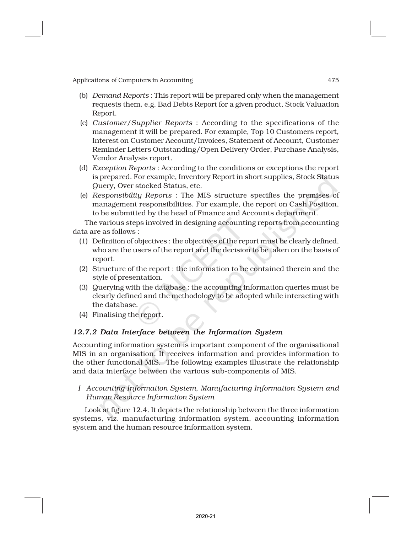- (b) *Demand Reports* : This report will be prepared only when the management requests them, e.g. Bad Debts Report for a given product, Stock Valuation Report.
- (c) *Customer/Supplier Reports* : According to the specifications of the management it will be prepared. For example, Top 10 Customers report, Interest on Customer Account/Invoices, Statement of Account, Customer Reminder Letters Outstanding/Open Delivery Order, Purchase Analysis, Vendor Analysis report.
- (d) *Exception Reports* : According to the conditions or exceptions the report is prepared. For example, Inventory Report in short supplies, Stock Status Query, Over stocked Status, etc.
- (e) *Responsibility Reports* : The MIS structure specifies the premises of management responsibilities. For example, the report on Cash Position, to be submitted by the head of Finance and Accounts department.

The various steps involved in designing accounting reports from accounting data are as follows :

- (1) Definition of objectives : the objectives of the report must be clearly defined, who are the users of the report and the decision to be taken on the basis of report.
- (2) Structure of the report : the information to be contained therein and the style of presentation.
- (3) Querying with the database : the accounting information queries must be clearly defined and the methodology to be adopted while interacting with the database.
- (4) Finalising the report.

#### *12.7.2 Data Interface between the Information System*

Accounting information system is important component of the organisational MIS in an organisation. It receives information and provides information to the other functional MIS. The following examples illustrate the relationship and data interface between the various sub-components of MIS.

*I Accounting Information System, Manufacturing Information System and Human Resource Information System*

Look at figure 12.4. It depicts the relationship between the three information systems, viz. manufacturing information system, accounting information system and the human resource information system.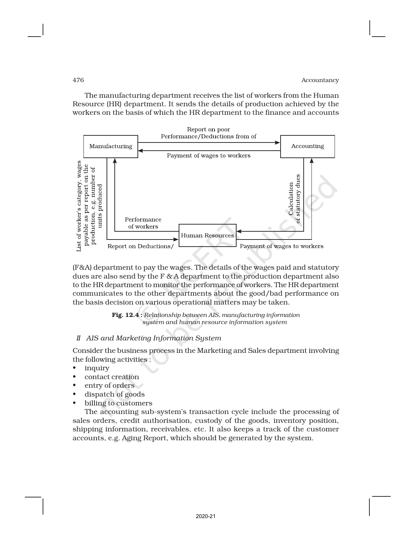The manufacturing department receives the list of workers from the Human Resource (HR) department. It sends the details of production achieved by the workers on the basis of which the HR department to the finance and accounts



(F&A) department to pay the wages. The details of the wages paid and statutory dues are also send by the F & A department to the production department also to the HR department to monitor the performance of workers. The HR department communicates to the other departments about the good/bad performance on the basis decision on various operational matters may be taken.

> Fig. 12.4 : *Relationship between AIS, manufacturing information system and human resource information system*

#### *II AIS and Marketing Information System*

Consider the business process in the Marketing and Sales department involving the following activities :

- inquiry
- contact creation
- entry of orders
- dispatch of goods
- billing to customers

The accounting sub-system's transaction cycle include the processing of sales orders, credit authorisation, custody of the goods, inventory position, shipping information, receivables, etc. It also keeps a track of the customer accounts, e.g. Aging Report, which should be generated by the system.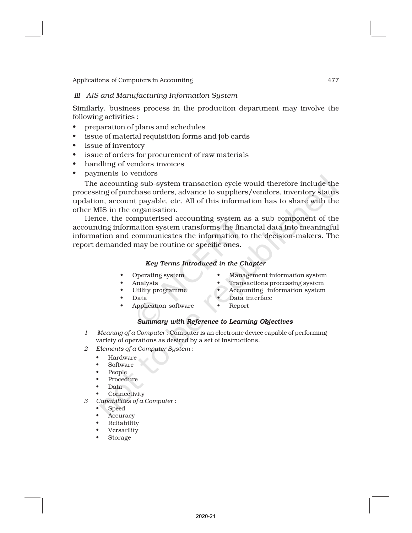#### *III AIS and Manufacturing Information System*

Similarly, business process in the production department may involve the following activities :

- preparation of plans and schedules
- issue of material requisition forms and job cards
- issue of inventory
- issue of orders for procurement of raw materials
- handling of vendors invoices
- payments to vendors

The accounting sub-system transaction cycle would therefore include the processing of purchase orders, advance to suppliers/vendors, inventory status updation, account payable, etc. All of this information has to share with the other MIS in the organisation.

Hence, the computerised accounting system as a sub component of the accounting information system transforms the financial data into meaningful information and communicates the information to the decision-makers. The report demanded may be routine or specific ones.

#### *Key Terms Introduced in the Chapter*

- 
- 
- 
- 
- Application software Report
- Operating system Management information system
- Analysts Transactions processing system
- Utility programme Accounting information system
- Data **below by Data interface** 
	-

#### *Summary with Reference to Learning Objectives*

- *1 Meaning of a Computer* : Computer is an electronic device capable of performing variety of operations as desired by a set of instructions.
- *2 Elements of a Computer System* :
	- Hardware
	- Software
	- People
	- Procedure
	- Data
	- Connectivity
- *3 Capabilities of a Computer* :
	- Speed
	- **Accuracy**
	- Reliability
	- **Versatility**
	- **Storage**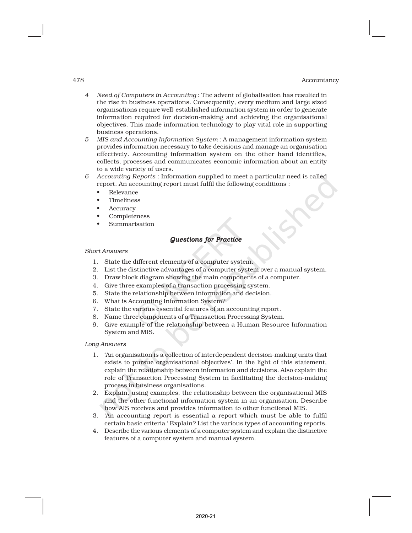#### 478 Accountancy

- *4 Need of Computers in Accounting* : The advent of globalisation has resulted in the rise in business operations. Consequently, every medium and large sized organisations require well-established information system in order to generate information required for decision-making and achieving the organisational objectives. This made information technology to play vital role in supporting business operations.
- *5 MIS and Accounting Information System* : A management information system provides information necessary to take decisions and manage an organisation effectively. Accounting information system on the other hand identifies, collects, processes and communicates economic information about an entity to a wide variety of users.
- *6 Accounting Reports* : Information supplied to meet a particular need is called report. An accounting report must fulfil the following conditions :
	- Relevance
	- **Timeliness**
	- **Accuracy**
	- **Completeness**
	- Summarisation

#### *Questions for Practice*

#### *Short Answers*

- 1. State the different elements of a computer system.
- 2. List the distinctive advantages of a computer system over a manual system.
- 3. Draw block diagram showing the main components of a computer.
- 4. Give three examples of a transaction processing system.
- 5. State the relationship between information and decision.
- 6. What is Accounting Information System?
- 7. State the various essential features of an accounting report.
- 8. Name three components of a Transaction Processing System.
- 9. Give example of the relationship between a Human Resource Information System and MIS.

#### *Long Answers*

- 1. 'An organisation is a collection of interdependent decision-making units that exists to pursue organisational objectives'. In the light of this statement, explain the relationship between information and decisions. Also explain the role of Transaction Processing System in facilitating the decision-making process in business organisations.
- 2. Explain, using examples, the relationship between the organisational MIS and the other functional information system in an organisation. Describe how AIS receives and provides information to other functional MIS.
- 3. 'An accounting report is essential a report which must be able to fulfil certain basic criteria ' Explain? List the various types of accounting reports.
- 4. Describe the various elements of a computer system and explain the distinctive features of a computer system and manual system.